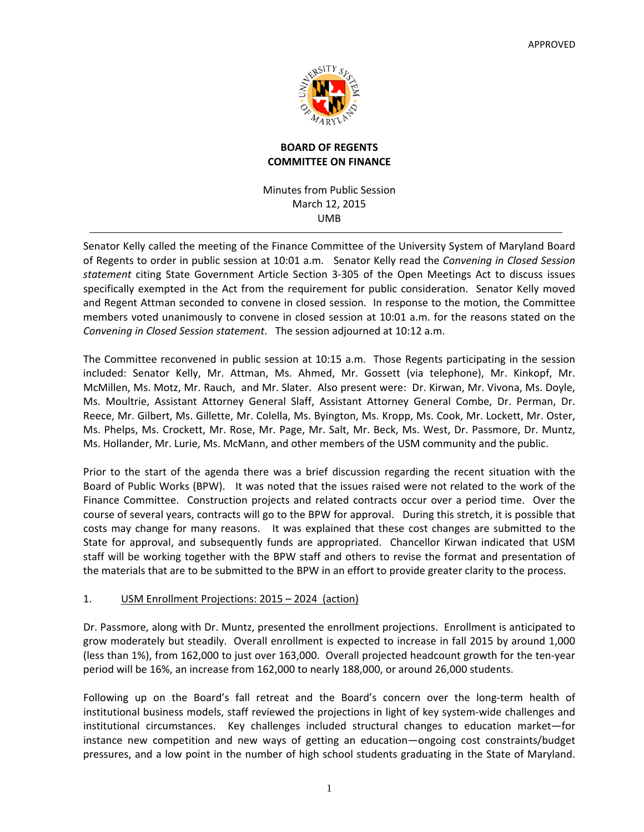

# **BOARD OF REGENTS COMMITTEE ON FINANCE**

Minutes from Public Session March 12, 2015 UMB

Senator Kelly called the meeting of the Finance Committee of the University System of Maryland Board of Regents to order in public session at 10:01 a.m. Senator Kelly read the *Convening in Closed Session statement* citing State Government Article Section 3‐305 of the Open Meetings Act to discuss issues specifically exempted in the Act from the requirement for public consideration. Senator Kelly moved and Regent Attman seconded to convene in closed session. In response to the motion, the Committee members voted unanimously to convene in closed session at 10:01 a.m. for the reasons stated on the *Convening in Closed Session statement*. The session adjourned at 10:12 a.m.

The Committee reconvened in public session at 10:15 a.m. Those Regents participating in the session included: Senator Kelly, Mr. Attman, Ms. Ahmed, Mr. Gossett (via telephone), Mr. Kinkopf, Mr. McMillen, Ms. Motz, Mr. Rauch, and Mr. Slater. Also present were: Dr. Kirwan, Mr. Vivona, Ms. Doyle, Ms. Moultrie, Assistant Attorney General Slaff, Assistant Attorney General Combe, Dr. Perman, Dr. Reece, Mr. Gilbert, Ms. Gillette, Mr. Colella, Ms. Byington, Ms. Kropp, Ms. Cook, Mr. Lockett, Mr. Oster, Ms. Phelps, Ms. Crockett, Mr. Rose, Mr. Page, Mr. Salt, Mr. Beck, Ms. West, Dr. Passmore, Dr. Muntz, Ms. Hollander, Mr. Lurie, Ms. McMann, and other members of the USM community and the public.

Prior to the start of the agenda there was a brief discussion regarding the recent situation with the Board of Public Works (BPW). It was noted that the issues raised were not related to the work of the Finance Committee. Construction projects and related contracts occur over a period time. Over the course of several years, contracts will go to the BPW for approval. During this stretch, it is possible that costs may change for many reasons. It was explained that these cost changes are submitted to the State for approval, and subsequently funds are appropriated. Chancellor Kirwan indicated that USM staff will be working together with the BPW staff and others to revise the format and presentation of the materials that are to be submitted to the BPW in an effort to provide greater clarity to the process.

# 1. USM Enrollment Projections: 2015 – 2024 (action)

Dr. Passmore, along with Dr. Muntz, presented the enrollment projections. Enrollment is anticipated to grow moderately but steadily. Overall enrollment is expected to increase in fall 2015 by around 1,000 (less than 1%), from 162,000 to just over 163,000. Overall projected headcount growth for the ten‐year period will be 16%, an increase from 162,000 to nearly 188,000, or around 26,000 students.

Following up on the Board's fall retreat and the Board's concern over the long-term health of institutional business models, staff reviewed the projections in light of key system‐wide challenges and institutional circumstances. Key challenges included structural changes to education market—for instance new competition and new ways of getting an education—ongoing cost constraints/budget pressures, and a low point in the number of high school students graduating in the State of Maryland.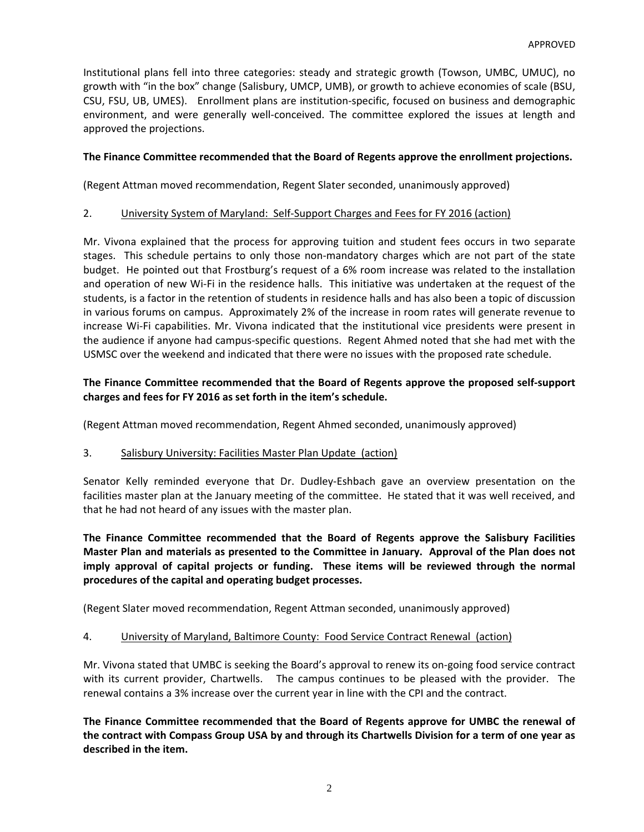Institutional plans fell into three categories: steady and strategic growth (Towson, UMBC, UMUC), no growth with "in the box" change (Salisbury, UMCP, UMB), or growth to achieve economies of scale (BSU, CSU, FSU, UB, UMES). Enrollment plans are institution‐specific, focused on business and demographic environment, and were generally well-conceived. The committee explored the issues at length and approved the projections.

### **The Finance Committee recommended that the Board of Regents approve the enrollment projections.**

(Regent Attman moved recommendation, Regent Slater seconded, unanimously approved)

### 2. University System of Maryland: Self‐Support Charges and Fees for FY 2016 (action)

Mr. Vivona explained that the process for approving tuition and student fees occurs in two separate stages. This schedule pertains to only those non-mandatory charges which are not part of the state budget. He pointed out that Frostburg's request of a 6% room increase was related to the installation and operation of new Wi-Fi in the residence halls. This initiative was undertaken at the request of the students, is a factor in the retention of students in residence halls and has also been a topic of discussion in various forums on campus. Approximately 2% of the increase in room rates will generate revenue to increase Wi‐Fi capabilities. Mr. Vivona indicated that the institutional vice presidents were present in the audience if anyone had campus‐specific questions. Regent Ahmed noted that she had met with the USMSC over the weekend and indicated that there were no issues with the proposed rate schedule.

# **The Finance Committee recommended that the Board of Regents approve the proposed self‐support charges and fees for FY 2016 as set forth in the item's schedule.**

(Regent Attman moved recommendation, Regent Ahmed seconded, unanimously approved)

#### 3. Salisbury University: Facilities Master Plan Update (action)

Senator Kelly reminded everyone that Dr. Dudley‐Eshbach gave an overview presentation on the facilities master plan at the January meeting of the committee. He stated that it was well received, and that he had not heard of any issues with the master plan.

**The Finance Committee recommended that the Board of Regents approve the Salisbury Facilities Master Plan and materials as presented to the Committee in January. Approval of the Plan does not imply approval of capital projects or funding. These items will be reviewed through the normal procedures of the capital and operating budget processes.**

(Regent Slater moved recommendation, Regent Attman seconded, unanimously approved)

#### 4. University of Maryland, Baltimore County: Food Service Contract Renewal (action)

Mr. Vivona stated that UMBC is seeking the Board's approval to renew its on‐going food service contract with its current provider, Chartwells. The campus continues to be pleased with the provider. The renewal contains a 3% increase over the current year in line with the CPI and the contract.

**The Finance Committee recommended that the Board of Regents approve for UMBC the renewal of** the contract with Compass Group USA by and through its Chartwells Division for a term of one year as **described in the item.**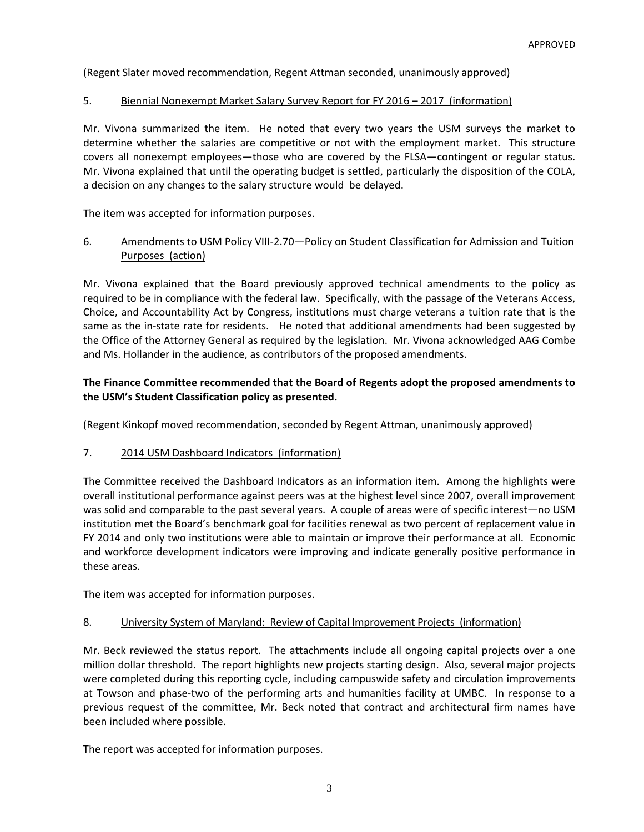(Regent Slater moved recommendation, Regent Attman seconded, unanimously approved)

### 5. Biennial Nonexempt Market Salary Survey Report for FY 2016 – 2017 (information)

Mr. Vivona summarized the item. He noted that every two years the USM surveys the market to determine whether the salaries are competitive or not with the employment market. This structure covers all nonexempt employees—those who are covered by the FLSA—contingent or regular status. Mr. Vivona explained that until the operating budget is settled, particularly the disposition of the COLA, a decision on any changes to the salary structure would be delayed.

The item was accepted for information purposes.

# 6. Amendments to USM Policy VIII‐2.70—Policy on Student Classification for Admission and Tuition Purposes (action)

Mr. Vivona explained that the Board previously approved technical amendments to the policy as required to be in compliance with the federal law. Specifically, with the passage of the Veterans Access, Choice, and Accountability Act by Congress, institutions must charge veterans a tuition rate that is the same as the in-state rate for residents. He noted that additional amendments had been suggested by the Office of the Attorney General as required by the legislation. Mr. Vivona acknowledged AAG Combe and Ms. Hollander in the audience, as contributors of the proposed amendments.

# **The Finance Committee recommended that the Board of Regents adopt the proposed amendments to the USM's Student Classification policy as presented.**

(Regent Kinkopf moved recommendation, seconded by Regent Attman, unanimously approved)

#### 7. 2014 USM Dashboard Indicators (information)

The Committee received the Dashboard Indicators as an information item. Among the highlights were overall institutional performance against peers was at the highest level since 2007, overall improvement was solid and comparable to the past several years. A couple of areas were of specific interest—no USM institution met the Board's benchmark goal for facilities renewal as two percent of replacement value in FY 2014 and only two institutions were able to maintain or improve their performance at all. Economic and workforce development indicators were improving and indicate generally positive performance in these areas.

The item was accepted for information purposes.

#### 8. University System of Maryland: Review of Capital Improvement Projects (information)

Mr. Beck reviewed the status report. The attachments include all ongoing capital projects over a one million dollar threshold. The report highlights new projects starting design. Also, several major projects were completed during this reporting cycle, including campuswide safety and circulation improvements at Towson and phase-two of the performing arts and humanities facility at UMBC. In response to a previous request of the committee, Mr. Beck noted that contract and architectural firm names have been included where possible.

The report was accepted for information purposes.